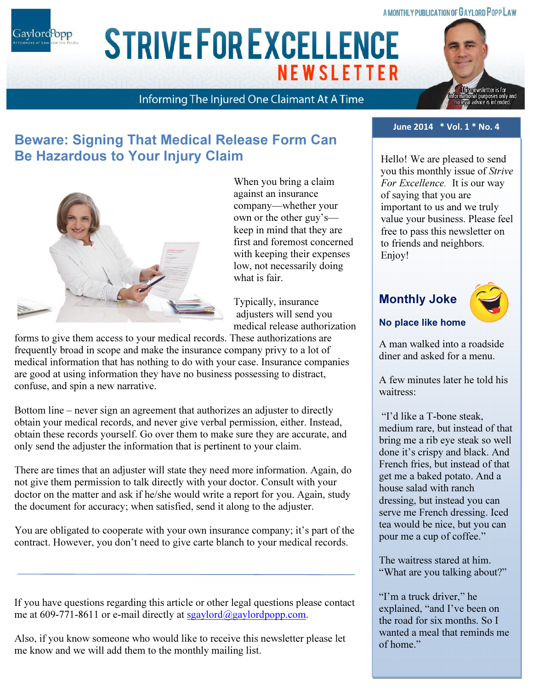#### A MONTHLY PUBLICATION OF GAYLORD POPP LAW

Gaylord<sup>P</sup>opp

# ARIAL 15 POINT BOLD CAPS FOR CO. NAME **STRIVE FOR EXCELLENCE NEWSLETTER**

### Informing The Injured One Claimant At A Time



### Beware: Signing That Medical Release Form Can Be Hazardous to Your Injury Claim



When you bring a claim against an insurance company—whether your own or the other guy's keep in mind that they are first and foremost concerned with keeping their expenses low, not necessarily doing what is fair.

Typically, insurance adjusters will send you medical release authorization

forms to give them access to your medical records. These authorizations are frequently broad in scope and make the insurance company privy to a lot of medical information that has nothing to do with your case. Insurance companies are good at using information they have no business possessing to distract, confuse, and spin a new narrative.

Bottom line – never sign an agreement that authorizes an adjuster to directly obtain your medical records, and never give verbal permission, either. Instead, obtain these records yourself. Go over them to make sure they are accurate, and only send the adjuster the information that is pertinent to your claim.

There are times that an adjuster will state they need more information. Again, do not give them permission to talk directly with your doctor. Consult with your doctor on the matter and ask if he/she would write a report for you. Again, study the document for accuracy; when satisfied, send it along to the adjuster.

You are obligated to cooperate with your own insurance company; it's part of the contract. However, you don't need to give carte blanch to your medical records.

If you have questions regarding this article or other legal questions please contact me at 609-771-8611 or e-mail directly at sgaylord $\omega$ gaylordpopp.com.

Also, if you know someone who would like to receive this newsletter please let me know and we will add them to the monthly mailing list.

#### June 2014 \* Vol. 1 \* No. 4

Hello! We are pleased to send you this monthly issue of Strive For Excellence. It is our way of saying that you are important to us and we truly value your business. Please feel free to pass this newsletter on to friends and neighbors. Enjoy!

### Monthly Joke



#### No place like home

A man walked into a roadside diner and asked for a menu.

A few minutes later he told his waitress:

 "I'd like a T-bone steak, medium rare, but instead of that bring me a rib eye steak so well done it's crispy and black. And French fries, but instead of that get me a baked potato. And a house salad with ranch dressing, but instead you can serve me French dressing. Iced tea would be nice, but you can pour me a cup of coffee."

The waitress stared at him. "What are you talking about?"

"I'm a truck driver," he explained, "and I've been on the road for six months. So I wanted a meal that reminds me of home."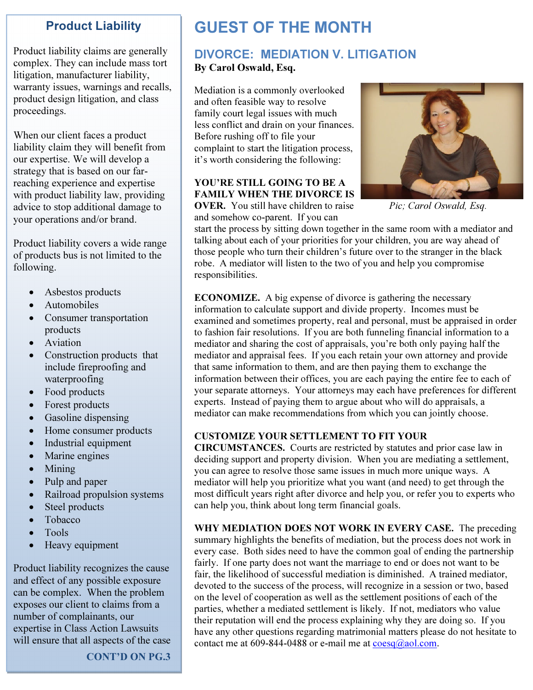### Product Liability

Product liability claims are generally complex. They can include mass tort litigation, manufacturer liability, warranty issues, warnings and recalls, product design litigation, and class proceedings.

When our client faces a product liability claim they will benefit from our expertise. We will develop a strategy that is based on our farreaching experience and expertise with product liability law, providing advice to stop additional damage to your operations and/or brand.

Product liability covers a wide range of products bus is not limited to the following.

- Asbestos products
- Automobiles
- Consumer transportation products
- Aviation
- Construction products that include fireproofing and waterproofing
- Food products
- Forest products
- Gasoline dispensing
- Home consumer products
- Industrial equipment
- Marine engines
- Mining
- Pulp and paper
- Railroad propulsion systems
- Steel products
- Tobacco
- Tools
- Heavy equipment

Product liability recognizes the cause and effect of any possible exposure can be complex. When the problem exposes our client to claims from a number of complainants, our expertise in Class Action Lawsuits will ensure that all aspects of the case

CONT'D ON PG.3

## GUEST OF THE MONTH

### DIVORCE: MEDIATION V. LITIGATION

#### By Carol Oswald, Esq.

Mediation is a commonly overlooked and often feasible way to resolve family court legal issues with much less conflict and drain on your finances. Before rushing off to file your complaint to start the litigation process, it's worth considering the following:

#### YOU'RE STILL GOING TO BE A FAMILY WHEN THE DIVORCE IS

**OVER.** You still have children to raise *Pic; Carol Oswald, Esq.* and somehow co-parent. If you can



start the process by sitting down together in the same room with a mediator and talking about each of your priorities for your children, you are way ahead of those people who turn their children's future over to the stranger in the black robe. A mediator will listen to the two of you and help you compromise responsibilities.

ECONOMIZE. A big expense of divorce is gathering the necessary information to calculate support and divide property. Incomes must be examined and sometimes property, real and personal, must be appraised in order to fashion fair resolutions. If you are both funneling financial information to a mediator and sharing the cost of appraisals, you're both only paying half the mediator and appraisal fees. If you each retain your own attorney and provide that same information to them, and are then paying them to exchange the information between their offices, you are each paying the entire fee to each of your separate attorneys. Your attorneys may each have preferences for different experts. Instead of paying them to argue about who will do appraisals, a mediator can make recommendations from which you can jointly choose.

#### CUSTOMIZE YOUR SETTLEMENT TO FIT YOUR

CIRCUMSTANCES. Courts are restricted by statutes and prior case law in deciding support and property division. When you are mediating a settlement, you can agree to resolve those same issues in much more unique ways. A mediator will help you prioritize what you want (and need) to get through the most difficult years right after divorce and help you, or refer you to experts who can help you, think about long term financial goals.

WHY MEDIATION DOES NOT WORK IN EVERY CASE. The preceding summary highlights the benefits of mediation, but the process does not work in every case. Both sides need to have the common goal of ending the partnership fairly. If one party does not want the marriage to end or does not want to be fair, the likelihood of successful mediation is diminished. A trained mediator, devoted to the success of the process, will recognize in a session or two, based on the level of cooperation as well as the settlement positions of each of the parties, whether a mediated settlement is likely. If not, mediators who value their reputation will end the process explaining why they are doing so. If you have any other questions regarding matrimonial matters please do not hesitate to contact me at  $609 - 844 - 0488$  or e-mail me at  $\frac{\cos a}{a}$  aol.com.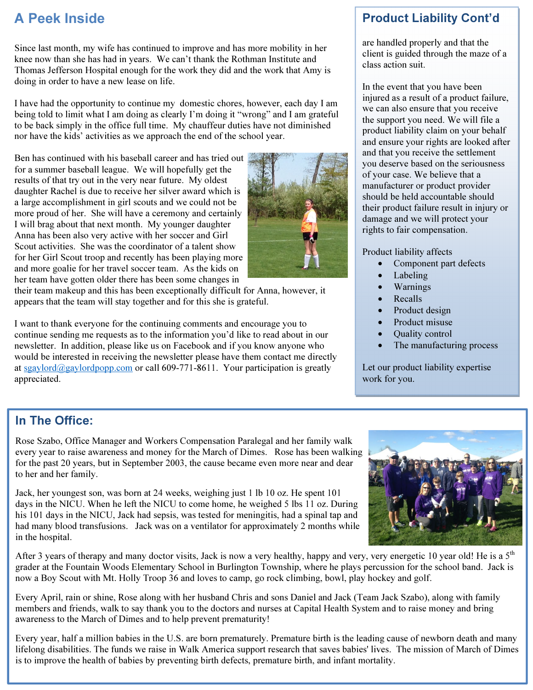### A Peek Inside

Since last month, my wife has continued to improve and has more mobility in her knee now than she has had in years. We can't thank the Rothman Institute and Thomas Jefferson Hospital enough for the work they did and the work that Amy is doing in order to have a new lease on life.

I have had the opportunity to continue my domestic chores, however, each day I am being told to limit what I am doing as clearly I'm doing it "wrong" and I am grateful to be back simply in the office full time. My chauffeur duties have not diminished nor have the kids' activities as we approach the end of the school year.

Ben has continued with his baseball career and has tried out for a summer baseball league. We will hopefully get the results of that try out in the very near future. My oldest daughter Rachel is due to receive her silver award which is a large accomplishment in girl scouts and we could not be more proud of her. She will have a ceremony and certainly I will brag about that next month. My younger daughter Anna has been also very active with her soccer and Girl Scout activities. She was the coordinator of a talent show for her Girl Scout troop and recently has been playing more and more goalie for her travel soccer team. As the kids on her team have gotten older there has been some changes in

their team makeup and this has been exceptionally difficult for Anna, however, it appears that the team will stay together and for this she is grateful.

I want to thank everyone for the continuing comments and encourage you to continue sending me requests as to the information you'd like to read about in our newsletter. In addition, please like us on Facebook and if you know anyone who would be interested in receiving the newsletter please have them contact me directly at sgaylord@gaylordpopp.com or call 609-771-8611. Your participation is greatly appreciated.

### Product Liability Cont'd

are handled properly and that the client is guided through the maze of a class action suit.

In the event that you have been injured as a result of a product failure, we can also ensure that you receive the support you need. We will file a product liability claim on your behalf and ensure your rights are looked after and that you receive the settlement you deserve based on the seriousness of your case. We believe that a manufacturer or product provider should be held accountable should their product failure result in injury or damage and we will protect your rights to fair compensation.

Product liability affects

- Component part defects
- **Labeling**
- Warnings
- **Recalls**
- Product design
- Product misuse
- Quality control
- The manufacturing process

Let our product liability expertise work for you.

### In The Office:

Rose Szabo, Office Manager and Workers Compensation Paralegal and her family walk every year to raise awareness and money for the March of Dimes. Rose has been walking for the past 20 years, but in September 2003, the cause became even more near and dear to her and her family.

Jack, her youngest son, was born at 24 weeks, weighing just 1 lb 10 oz. He spent 101 days in the NICU. When he left the NICU to come home, he weighed 5 lbs 11 oz. During his 101 days in the NICU, Jack had sepsis, was tested for meningitis, had a spinal tap and had many blood transfusions. Jack was on a ventilator for approximately 2 months while in the hospital.

After 3 years of therapy and many doctor visits, Jack is now a very healthy, happy and very, very energetic 10 year old! He is a  $5<sup>th</sup>$ grader at the Fountain Woods Elementary School in Burlington Township, where he plays percussion for the school band. Jack is now a Boy Scout with Mt. Holly Troop 36 and loves to camp, go rock climbing, bowl, play hockey and golf.

Every April, rain or shine, Rose along with her husband Chris and sons Daniel and Jack (Team Jack Szabo), along with family members and friends, walk to say thank you to the doctors and nurses at Capital Health System and to raise money and bring awareness to the March of Dimes and to help prevent prematurity!

Every year, half a million babies in the U.S. are born prematurely. Premature birth is the leading cause of newborn death and many lifelong disabilities. The funds we raise in Walk America support research that saves babies' lives. The mission of March of Dimes is to improve the health of babies by preventing birth defects, premature birth, and infant mortality.